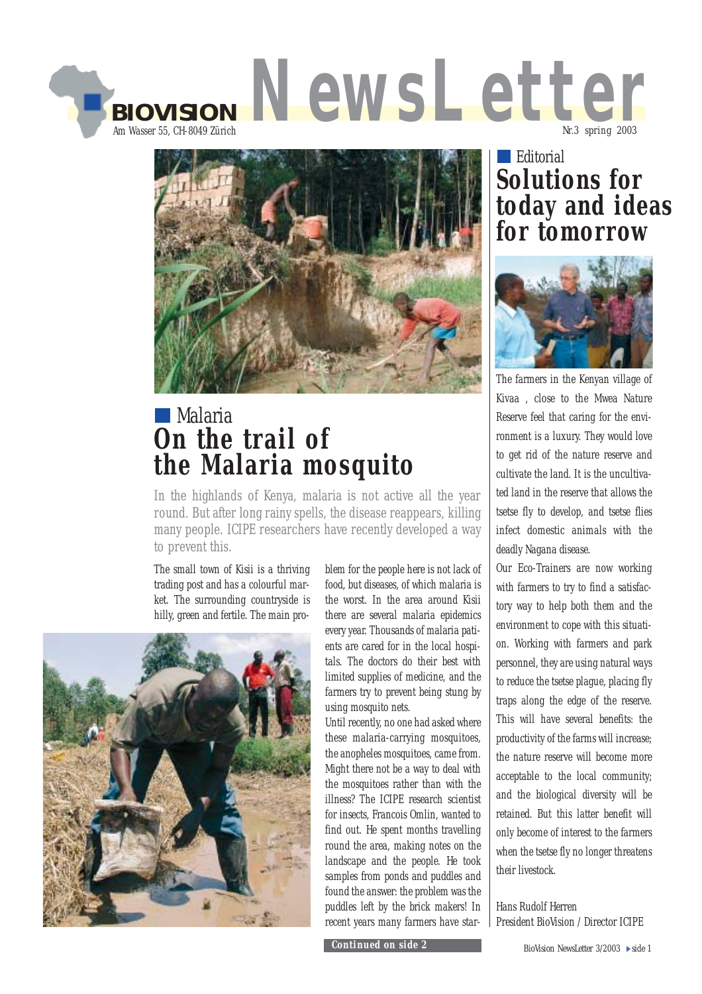



## Malaria **On the trail of the Malaria mosquito**

In the highlands of Kenya, malaria is not active all the year round. But after long rainy spells, the disease reappears, killing many people. ICIPE researchers have recently developed a way to prevent this.

The small town of Kisii is a thriving trading post and has a colourful market. The surrounding countryside is hilly, green and fertile. The main pro-



blem for the people here is not lack of food, but diseases, of which malaria is the worst. In the area around Kisii there are several malaria epidemics every year. Thousands of malaria patients are cared for in the local hospitals. The doctors do their best with limited supplies of medicine, and the farmers try to prevent being stung by using mosquito nets.

Until recently, no one had asked where these malaria-carrying mosquitoes, the anopheles mosquitoes, came from. Might there not be a way to deal with the mosquitoes rather than with the illness? The ICIPE research scientist for insects, Francois Omlin, wanted to find out. He spent months travelling round the area, making notes on the landscape and the people. He took samples from ponds and puddles and found the answer: the problem was the puddles left by the brick makers! In recent years many farmers have star-

*Continued on side 2*

### **Editorial Solutions for today and ideas for tomorrow**



The farmers in the Kenyan village of Kivaa , close to the Mwea Nature Reserve feel that caring for the environment is a luxury. They would love to get rid of the nature reserve and cultivate the land. It is the uncultivated land in the reserve that allows the tsetse fly to develop, and tsetse flies infect domestic animals with the deadly Nagana disease.

Our Eco-Trainers are now working with farmers to try to find a satisfactory way to help both them and the environment to cope with this situation. Working with farmers and park personnel, they are using natural ways to reduce the tsetse plague, placing fly traps along the edge of the reserve. This will have several benefits: the productivity of the farms will increase; the nature reserve will become more acceptable to the local community; and the biological diversity will be retained. But this latter benefit will only become of interest to the farmers when the tsetse fly no longer threatens their livestock.

Hans Rudolf Herren President BioVision / Director ICIPE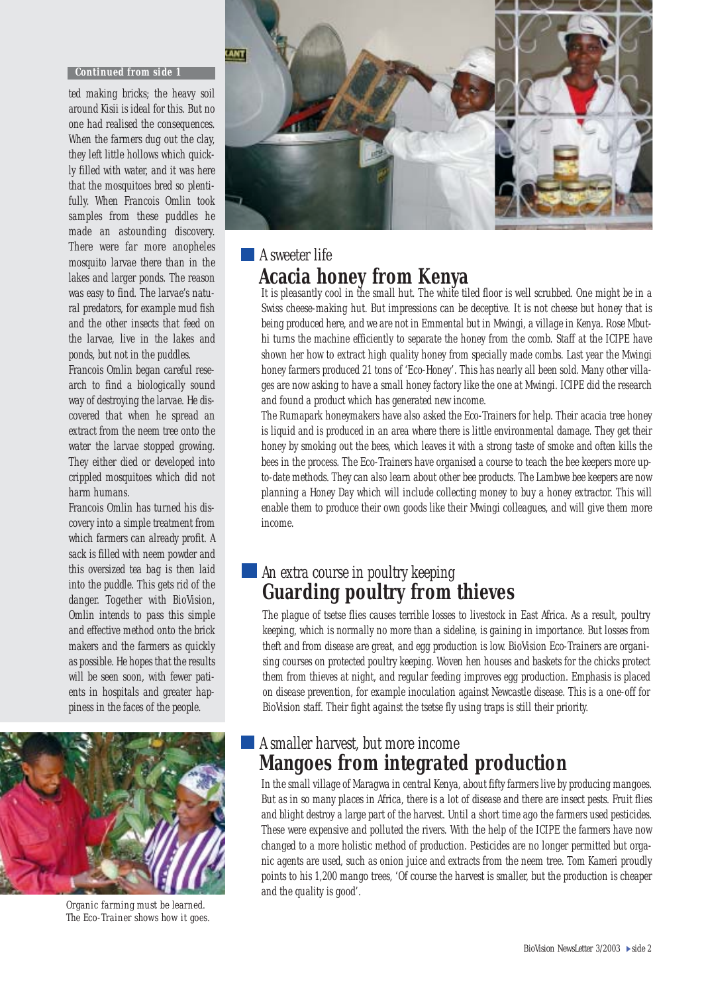#### *Continued from side 1*

ted making bricks; the heavy soil around Kisii is ideal for this. But no one had realised the consequences. When the farmers dug out the clay, they left little hollows which quickly filled with water, and it was here that the mosquitoes bred so plentifully. When Francois Omlin took samples from these puddles he made an astounding discovery. There were far more anopheles mosquito larvae there than in the lakes and larger ponds. The reason was easy to find. The larvae's natural predators, for example mud fish and the other insects that feed on the larvae, live in the lakes and ponds, but not in the puddles.

Francois Omlin began careful research to find a biologically sound way of destroying the larvae. He discovered that when he spread an extract from the neem tree onto the water the larvae stopped growing. They either died or developed into crippled mosquitoes which did not harm humans.

Francois Omlin has turned his discovery into a simple treatment from which farmers can already profit. A sack is filled with neem powder and this oversized tea bag is then laid into the puddle. This gets rid of the danger. Together with BioVision, Omlin intends to pass this simple and effective method onto the brick makers and the farmers as quickly as possible. He hopes that the results will be seen soon, with fewer patients in hospitals and greater happiness in the faces of the people.



*Organic farming must be learned. The Eco-Trainer shows how it goes.*



### **A** sweeter life **Acacia honey from Kenya**

It is pleasantly cool in the small hut. The white tiled floor is well scrubbed. One might be in a Swiss cheese-making hut. But impressions can be deceptive. It is not cheese but honey that is being produced here, and we are not in Emmental but in Mwingi, a village in Kenya. Rose Mbuthi turns the machine efficiently to separate the honey from the comb. Staff at the ICIPE have shown her how to extract high quality honey from specially made combs. Last year the Mwingi honey farmers produced 21 tons of 'Eco-Honey'. This has nearly all been sold. Many other villages are now asking to have a small honey factory like the one at Mwingi. ICIPE did the research and found a product which has generated new income.

The Rumapark honeymakers have also asked the Eco-Trainers for help. Their acacia tree honey is liquid and is produced in an area where there is little environmental damage. They get their honey by smoking out the bees, which leaves it with a strong taste of smoke and often kills the bees in the process. The Eco-Trainers have organised a course to teach the bee keepers more upto-date methods. They can also learn about other bee products. The Lambwe bee keepers are now planning a Honey Day which will include collecting money to buy a honey extractor. This will enable them to produce their own goods like their Mwingi colleagues, and will give them more income.

### An extra course in poultry keeping **Guarding poultry from thieves**

The plague of tsetse flies causes terrible losses to livestock in East Africa. As a result, poultry keeping, which is normally no more than a sideline, is gaining in importance. But losses from theft and from disease are great, and egg production is low. BioVision Eco-Trainers are organising courses on protected poultry keeping. Woven hen houses and baskets for the chicks protect them from thieves at night, and regular feeding improves egg production. Emphasis is placed on disease prevention, for example inoculation against Newcastle disease. This is a one-off for BioVision staff. Their fight against the tsetse fly using traps is still their priority.

#### A smaller harvest, but more income **Mangoes from integrated production**

In the small village of Maragwa in central Kenya, about fifty farmers live by producing mangoes. But as in so many places in Africa, there is a lot of disease and there are insect pests. Fruit flies and blight destroy a large part of the harvest. Until a short time ago the farmers used pesticides. These were expensive and polluted the rivers. With the help of the ICIPE the farmers have now changed to a more holistic method of production. Pesticides are no longer permitted but organic agents are used, such as onion juice and extracts from the neem tree. Tom Kameri proudly points to his 1,200 mango trees, 'Of course the harvest is smaller, but the production is cheaper and the quality is good'.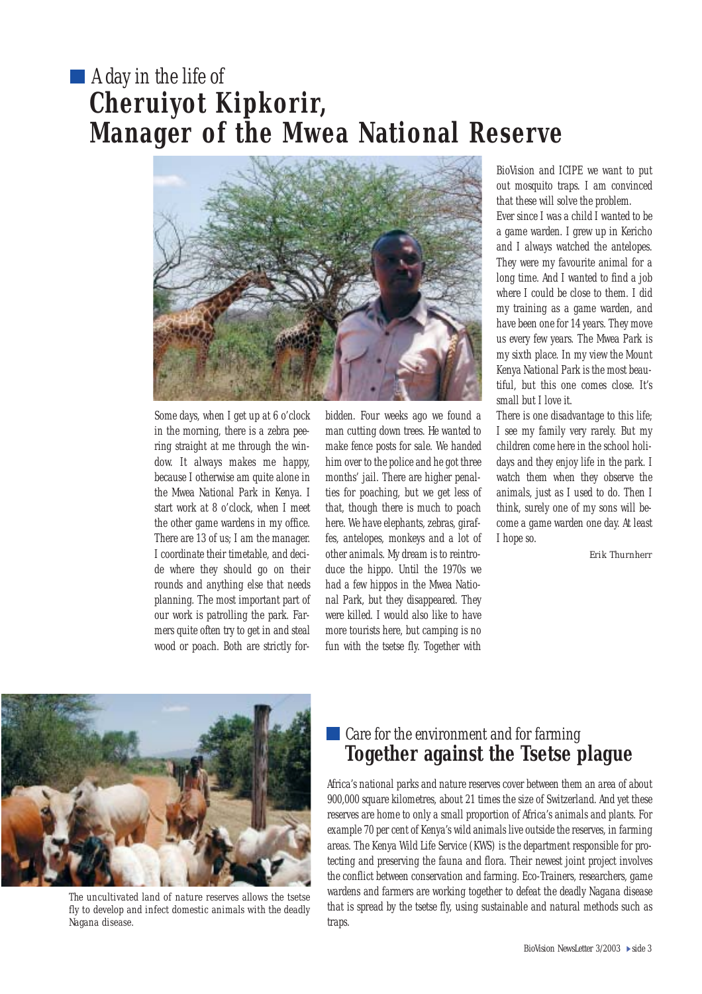# A day in the life of **Cheruiyot Kipkorir, Manager of the Mwea National Reserve**



Some days, when I get up at 6 o'clock in the morning, there is a zebra peering straight at me through the window. It always makes me happy, because I otherwise am quite alone in the Mwea National Park in Kenya. I start work at 8 o'clock, when I meet the other game wardens in my office. There are 13 of us; I am the manager. I coordinate their timetable, and decide where they should go on their rounds and anything else that needs planning. The most important part of our work is patrolling the park. Farmers quite often try to get in and steal wood or poach. Both are strictly forbidden. Four weeks ago we found a man cutting down trees. He wanted to make fence posts for sale. We handed him over to the police and he got three months' jail. There are higher penalties for poaching, but we get less of that, though there is much to poach here. We have elephants, zebras, giraffes, antelopes, monkeys and a lot of other animals. My dream is to reintroduce the hippo. Until the 1970s we had a few hippos in the Mwea National Park, but they disappeared. They were killed. I would also like to have more tourists here, but camping is no fun with the tsetse fly. Together with BioVision and ICIPE we want to put out mosquito traps. I am convinced that these will solve the problem.

Ever since I was a child I wanted to be a game warden. I grew up in Kericho and I always watched the antelopes. They were my favourite animal for a long time. And I wanted to find a job where I could be close to them. I did my training as a game warden, and have been one for 14 years. They move us every few years. The Mwea Park is my sixth place. In my view the Mount Kenya National Park is the most beautiful, but this one comes close. It's small but I love it.

There is one disadvantage to this life; I see my family very rarely. But my children come here in the school holidays and they enjoy life in the park. I watch them when they observe the animals, just as I used to do. Then I think, surely one of my sons will become a game warden one day. At least I hope so.

*Erik Thurnherr* 



*The uncultivated land of nature reserves allows the tsetse fly to develop and infect domestic animals with the deadly Nagana disease.* 

### Care for the environment and for farming **Together against the Tsetse plague**

Africa's national parks and nature reserves cover between them an area of about 900,000 square kilometres, about 21 times the size of Switzerland. And yet these reserves are home to only a small proportion of Africa's animals and plants. For example 70 per cent of Kenya's wild animals live outside the reserves, in farming areas. The Kenya Wild Life Service (KWS) is the department responsible for protecting and preserving the fauna and flora. Their newest joint project involves the conflict between conservation and farming. Eco-Trainers, researchers, game wardens and farmers are working together to defeat the deadly Nagana disease that is spread by the tsetse fly, using sustainable and natural methods such as traps.